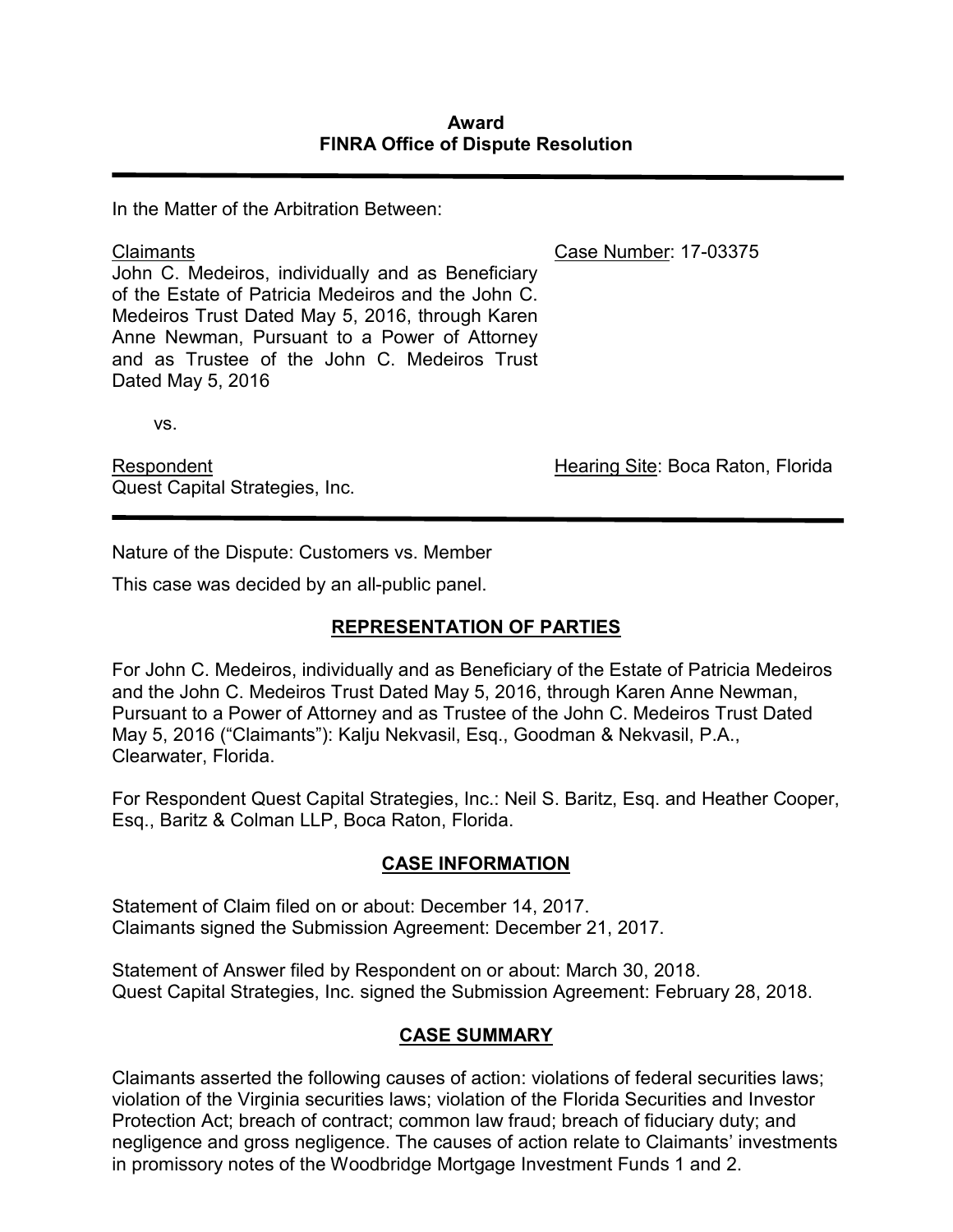In the Matter of the Arbitration Between:

**Claimants** John C. Medeiros, individually and as Beneficiary of the Estate of Patricia Medeiros and the John C. Medeiros Trust Dated May 5, 2016, through Karen Anne Newman, Pursuant to a Power of Attorney and as Trustee of the John C. Medeiros Trust Dated May 5, 2016

vs.

Respondent Quest Capital Strategies, Inc. Case Number: 17-03375

Hearing Site: Boca Raton, Florida

Nature of the Dispute: Customers vs. Member

This case was decided by an all-public panel.

# **REPRESENTATION OF PARTIES**

For John C. Medeiros, individually and as Beneficiary of the Estate of Patricia Medeiros and the John C. Medeiros Trust Dated May 5, 2016, through Karen Anne Newman, Pursuant to a Power of Attorney and as Trustee of the John C. Medeiros Trust Dated May 5, 2016 ("Claimants"): Kalju Nekvasil, Esq., Goodman & Nekvasil, P.A., Clearwater, Florida.

For Respondent Quest Capital Strategies, Inc.: Neil S. Baritz, Esq. and Heather Cooper, Esq., Baritz & Colman LLP, Boca Raton, Florida.

# **CASE INFORMATION**

Statement of Claim filed on or about: December 14, 2017. Claimants signed the Submission Agreement: December 21, 2017.

Statement of Answer filed by Respondent on or about: March 30, 2018. Quest Capital Strategies, Inc. signed the Submission Agreement: February 28, 2018.

#### **CASE SUMMARY**

Claimants asserted the following causes of action: violations of federal securities laws; violation of the Virginia securities laws; violation of the Florida Securities and Investor Protection Act; breach of contract; common law fraud; breach of fiduciary duty; and negligence and gross negligence. The causes of action relate to Claimants' investments in promissory notes of the Woodbridge Mortgage Investment Funds 1 and 2.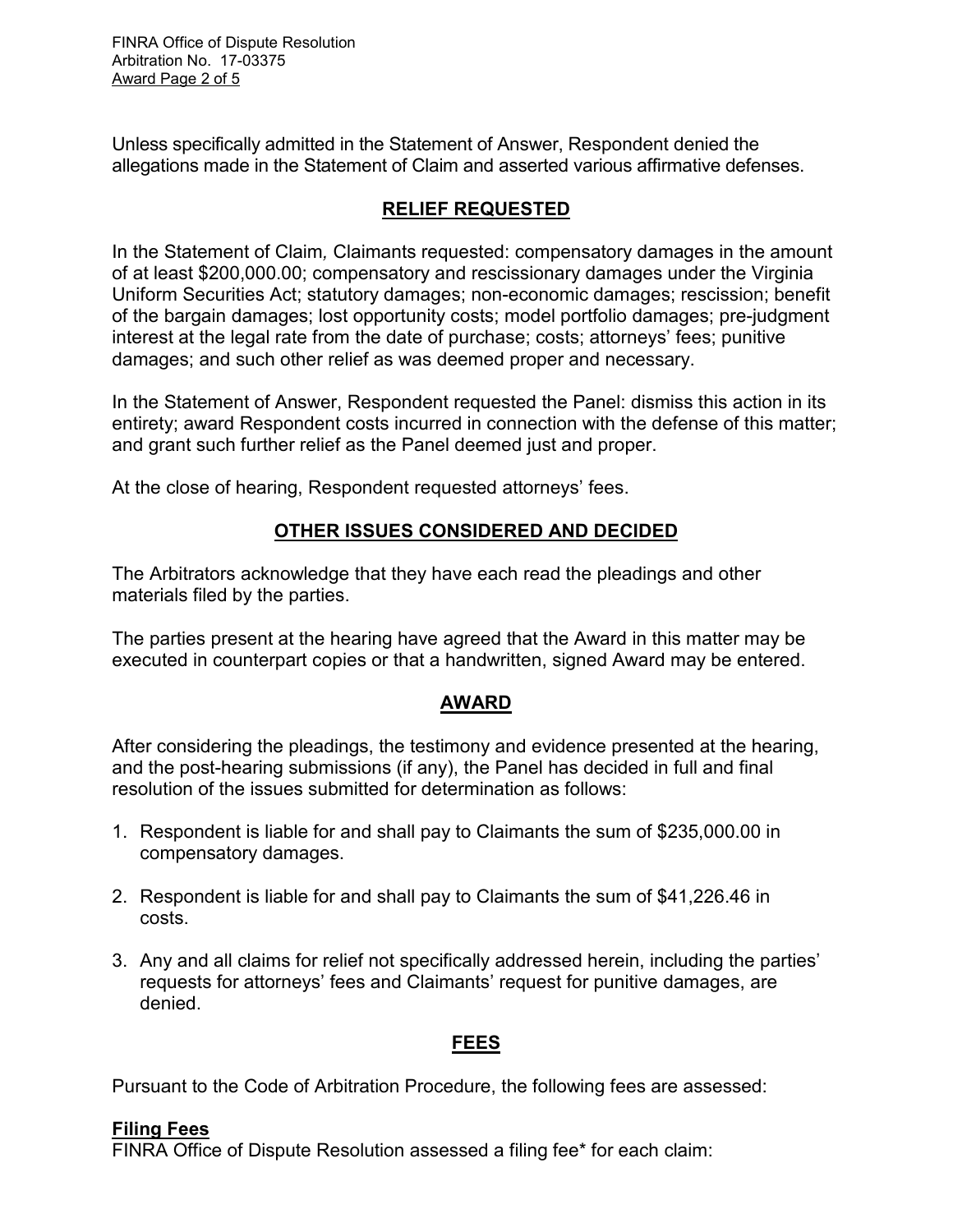FINRA Office of Dispute Resolution Arbitration No. 17-03375 Award Page 2 of 5

Unless specifically admitted in the Statement of Answer, Respondent denied the allegations made in the Statement of Claim and asserted various affirmative defenses.

# **RELIEF REQUESTED**

In the Statement of Claim*,* Claimants requested: compensatory damages in the amount of at least \$200,000.00; compensatory and rescissionary damages under the Virginia Uniform Securities Act; statutory damages; non-economic damages; rescission; benefit of the bargain damages; lost opportunity costs; model portfolio damages; pre-judgment interest at the legal rate from the date of purchase; costs; attorneys' fees; punitive damages; and such other relief as was deemed proper and necessary.

In the Statement of Answer, Respondent requested the Panel: dismiss this action in its entirety; award Respondent costs incurred in connection with the defense of this matter; and grant such further relief as the Panel deemed just and proper.

At the close of hearing, Respondent requested attorneys' fees.

# **OTHER ISSUES CONSIDERED AND DECIDED**

The Arbitrators acknowledge that they have each read the pleadings and other materials filed by the parties.

The parties present at the hearing have agreed that the Award in this matter may be executed in counterpart copies or that a handwritten, signed Award may be entered.

#### **AWARD**

After considering the pleadings, the testimony and evidence presented at the hearing, and the post-hearing submissions (if any), the Panel has decided in full and final resolution of the issues submitted for determination as follows:

- 1. Respondent is liable for and shall pay to Claimants the sum of \$235,000.00 in compensatory damages.
- 2. Respondent is liable for and shall pay to Claimants the sum of \$41,226.46 in costs.
- 3. Any and all claims for relief not specifically addressed herein, including the parties' requests for attorneys' fees and Claimants' request for punitive damages, are denied.

#### **FEES**

Pursuant to the Code of Arbitration Procedure, the following fees are assessed:

#### **Filing Fees**

FINRA Office of Dispute Resolution assessed a filing fee\* for each claim: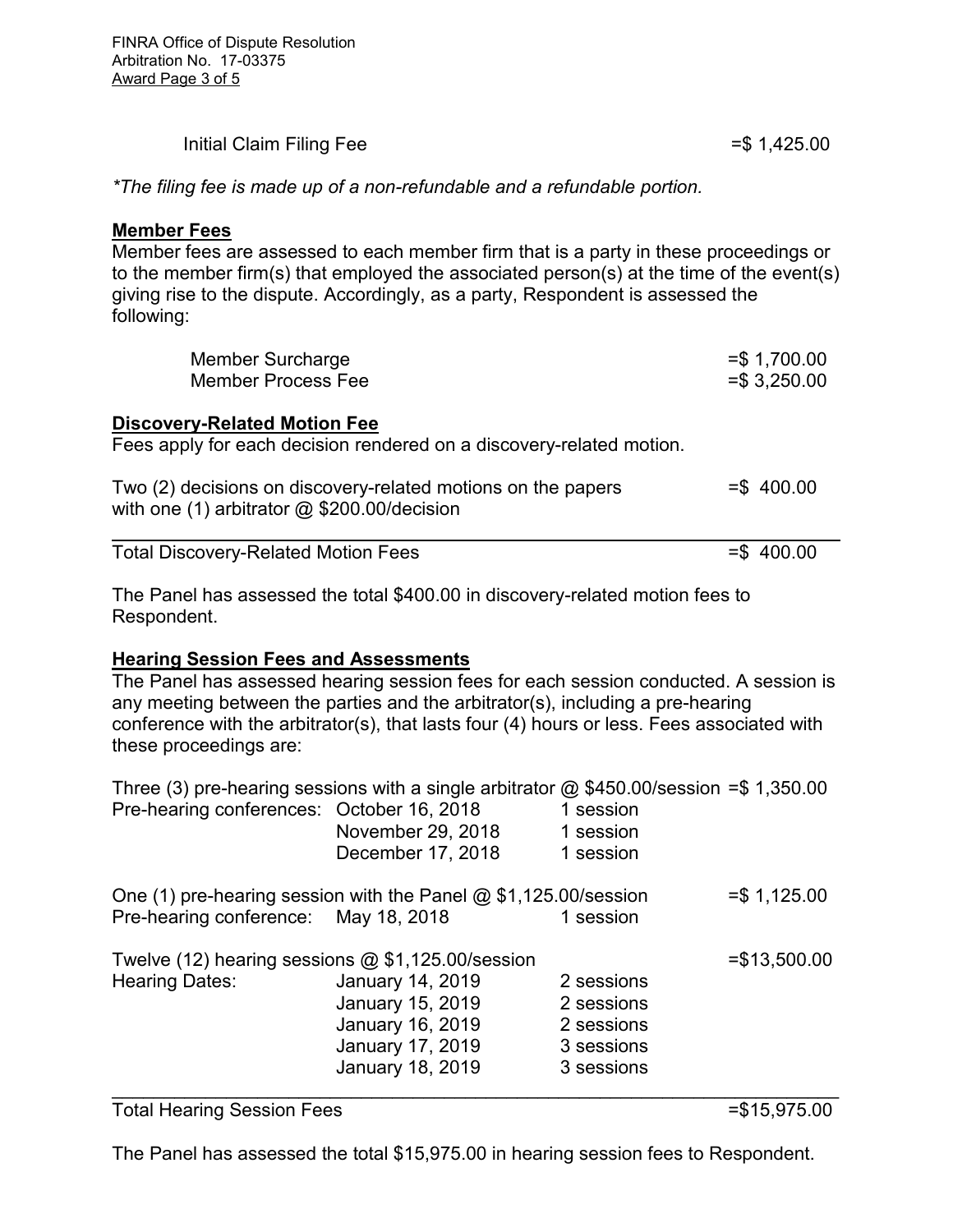| Initial Claim Filing Fee | $= $1,425.00$ |
|--------------------------|---------------|
|                          |               |

*\*The filing fee is made up of a non-refundable and a refundable portion.* 

#### **Member Fees**

Member fees are assessed to each member firm that is a party in these proceedings or to the member firm(s) that employed the associated person(s) at the time of the event(s) giving rise to the dispute. Accordingly, as a party, Respondent is assessed the following:

| Member Surcharge<br><b>Member Process Fee</b>                                                                 | $= $ 1,700.00$<br>$= $3,250.00$ |
|---------------------------------------------------------------------------------------------------------------|---------------------------------|
| <b>Discovery-Related Motion Fee</b><br>Fees apply for each decision rendered on a discovery-related motion.   |                                 |
| Two (2) decisions on discovery-related motions on the papers<br>with one (1) arbitrator $@$ \$200.00/decision | $=$ \$400.00                    |
| <b>Total Discovery-Related Motion Fees</b>                                                                    | $=$ \$400.00                    |

The Panel has assessed the total \$400.00 in discovery-related motion fees to Respondent.

#### **Hearing Session Fees and Assessments**

The Panel has assessed hearing session fees for each session conducted. A session is any meeting between the parties and the arbitrator(s), including a pre-hearing conference with the arbitrator(s), that lasts four (4) hours or less. Fees associated with these proceedings are:

| Pre-hearing conferences: October 16, 2018                                    | Three (3) pre-hearing sessions with a single arbitrator $\omega$ \$450.00/session =\$ 1,350.00<br>November 29, 2018<br>December 17, 2018 | 1 session<br>1 session<br>1 session                                |                |
|------------------------------------------------------------------------------|------------------------------------------------------------------------------------------------------------------------------------------|--------------------------------------------------------------------|----------------|
| Pre-hearing conference: May 18, 2018                                         | One (1) pre-hearing session with the Panel $@$ \$1,125.00/session                                                                        | 1 session                                                          | $= $ 1,125.00$ |
| Twelve (12) hearing sessions $@$ \$1,125.00/session<br><b>Hearing Dates:</b> | <b>January 14, 2019</b><br>January 15, 2019<br>January 16, 2019<br>January 17, 2019<br>January 18, 2019                                  | 2 sessions<br>2 sessions<br>2 sessions<br>3 sessions<br>3 sessions | $= $13,500.00$ |

#### Total Hearing Session Fees =  $\frac{15,975.00}{5}$

The Panel has assessed the total \$15,975.00 in hearing session fees to Respondent.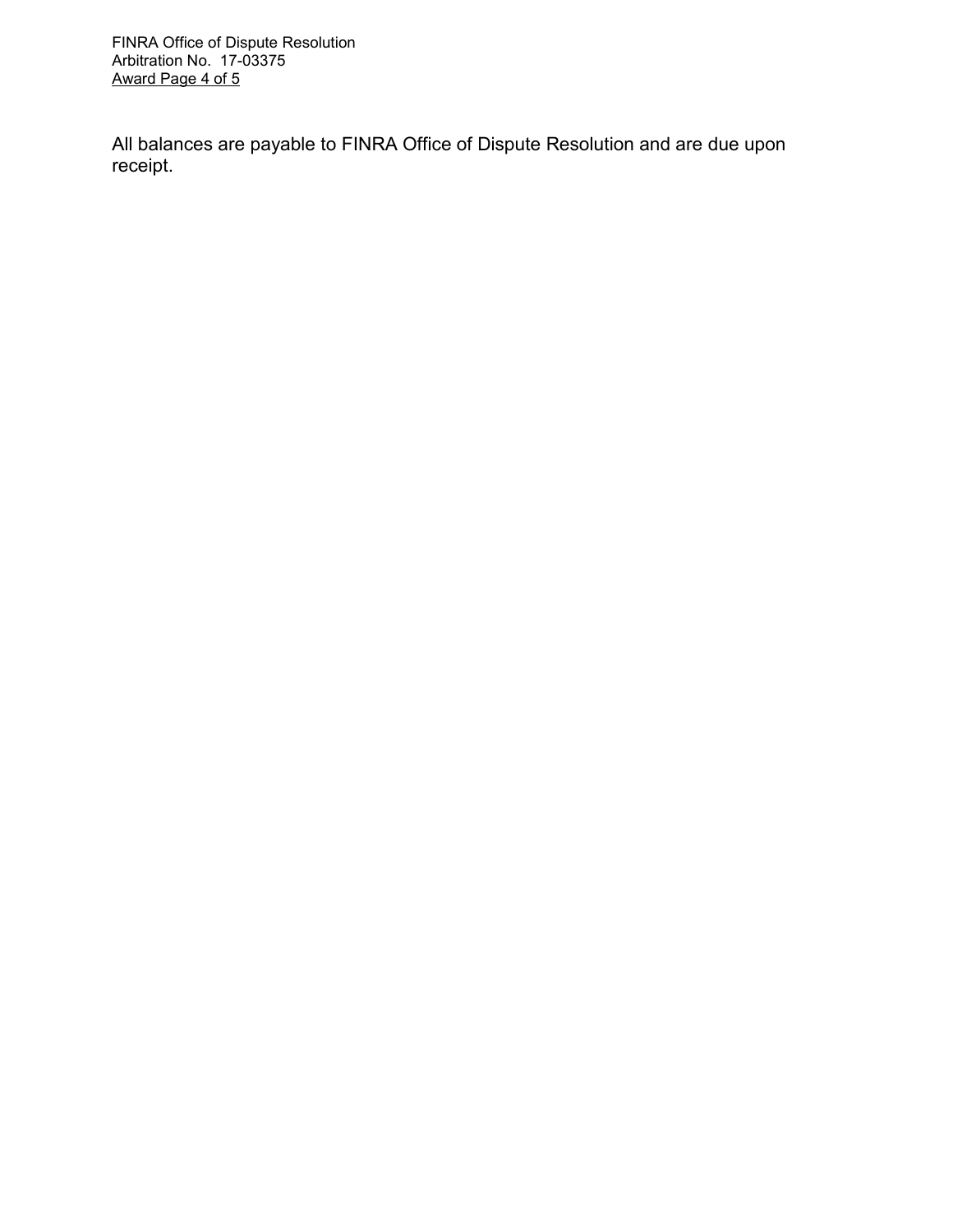FINRA Office of Dispute Resolution Arbitration No. 17-03375 Award Page 4 of 5

All balances are payable to FINRA Office of Dispute Resolution and are due upon receipt.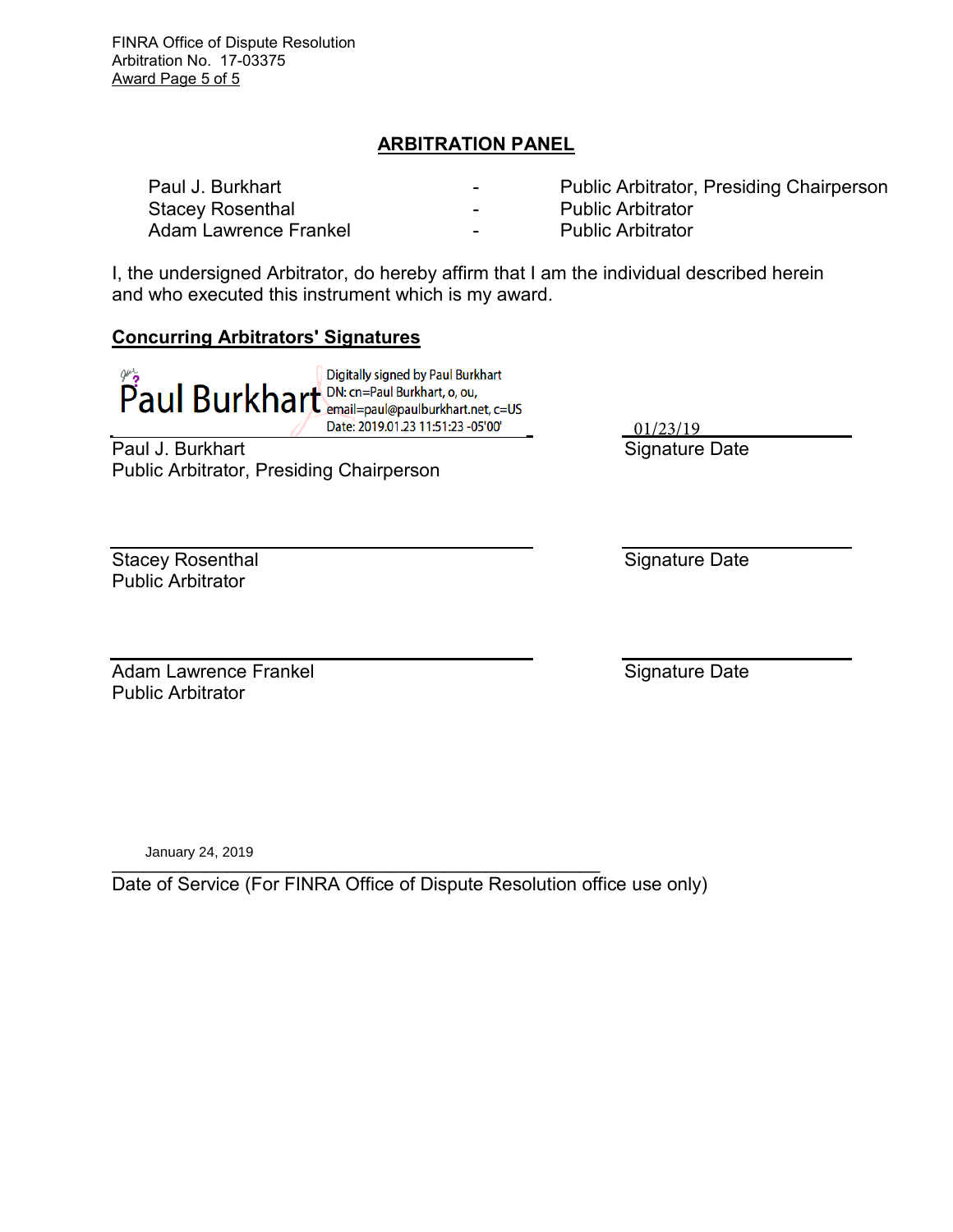FINRA Office of Dispute Resolution Arbitration No. 17-03375 Award Page 5 of 5

# **ARBITRATION PANEL**

| Paul J. Burkhart      | $\overline{\phantom{0}}$ | <b>Public Arbitrator, Presiding Chairperson</b> |
|-----------------------|--------------------------|-------------------------------------------------|
| Stacey Rosenthal      | -                        | <b>Public Arbitrator</b>                        |
| Adam Lawrence Frankel | $\overline{\phantom{0}}$ | <b>Public Arbitrator</b>                        |

I, the undersigned Arbitrator, do hereby affirm that I am the individual described herein and who executed this instrument which is my award.

#### **Concurring Arbitrators' Signatures**

 $\widetilde{P}$  aul Burkhart<br> $\widetilde{P}$  aul Burkhart<br> $\widetilde{P}$  aul Burkhart,  $\widetilde{P}$  and  $\widetilde{P}$  and Burkhart,  $\widetilde{P}$  and  $\widetilde{P}$  and  $\widetilde{P}$  and  $\widetilde{P}$  and  $\widetilde{P}$  and  $\widetilde{P}$  and  $\widetilde{P}$  and  $\widetilde{P}$  and Digitally signed by Paul Burkhart Date: 2019.01.23 11:51:23 -05'00'

Paul J. Burkhart Public Arbitrator, Presiding Chairperson Signature Date 01/23/19

Stacey Rosenthal Public Arbitrator

Signature Date

Adam Lawrence Frankel Public Arbitrator

Signature Date

 $\frac{1}{2}$ January 24, 2019

Date of Service (For FINRA Office of Dispute Resolution office use only)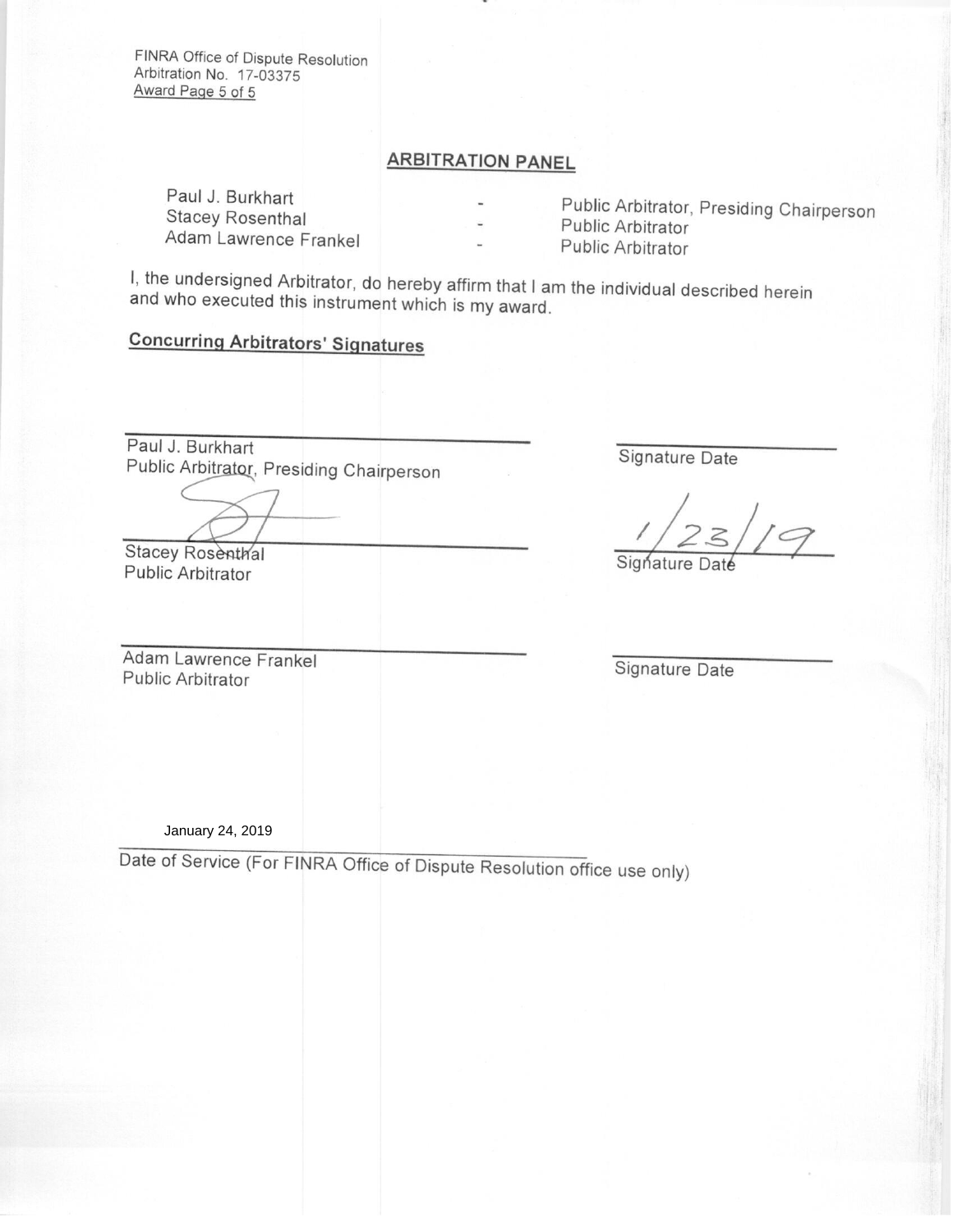FINRA Office of Dispute Resolution Arbitration No. 17-03375 Award Page 5 of 5

# **ARBITRATION PANEL**

Paul J. Burkhart **Stacey Rosenthal** Adam Lawrence Frankel

Public Arbitrator, Presiding Chairperson Public Arbitrator **Public Arbitrator** 

I, the undersigned Arbitrator, do hereby affirm that I am the individual described herein and who executed this instrument which is my award.

# **Concurring Arbitrators' Signatures**

Paul J. Burkhart Public Arbitrator, Presiding Chairperson

Stacey Rosenthal Public Arbitrator

Adam Lawrence Frankel Public Arbitrator

Signature Date

 $\frac{1}{25/9}$ 

Signature Date

January 24, 2019

Date of Service (For FINRA Office of Dispute Resolution office use only)